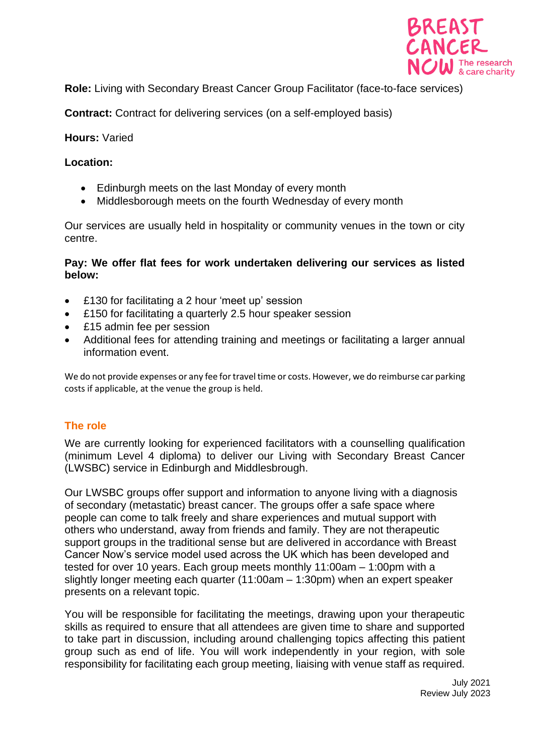

**Role:** Living with Secondary Breast Cancer Group Facilitator (face-to-face services)

**Contract:** Contract for delivering services (on a self-employed basis)

## **Hours:** Varied

## **Location:**

- Edinburgh meets on the last Monday of every month
- Middlesborough meets on the fourth Wednesday of every month

Our services are usually held in hospitality or community venues in the town or city centre.

## **Pay: We offer flat fees for work undertaken delivering our services as listed below:**

- £130 for facilitating a 2 hour 'meet up' session
- £150 for facilitating a quarterly 2.5 hour speaker session
- £15 admin fee per session
- Additional fees for attending training and meetings or facilitating a larger annual information event.

We do not provide expenses or any fee for travel time or costs. However, we do reimburse car parking costs if applicable, at the venue the group is held.

# **The role**

We are currently looking for experienced facilitators with a counselling qualification (minimum Level 4 diploma) to deliver our Living with Secondary Breast Cancer (LWSBC) service in Edinburgh and Middlesbrough.

Our LWSBC groups offer support and information to anyone living with a diagnosis of secondary (metastatic) breast cancer. The groups offer a safe space where people can come to talk freely and share experiences and mutual support with others who understand, away from friends and family. They are not therapeutic support groups in the traditional sense but are delivered in accordance with Breast Cancer Now's service model used across the UK which has been developed and tested for over 10 years. Each group meets monthly 11:00am – 1:00pm with a slightly longer meeting each quarter (11:00am – 1:30pm) when an expert speaker presents on a relevant topic.

You will be responsible for facilitating the meetings, drawing upon your therapeutic skills as required to ensure that all attendees are given time to share and supported to take part in discussion, including around challenging topics affecting this patient group such as end of life. You will work independently in your region, with sole responsibility for facilitating each group meeting, liaising with venue staff as required.